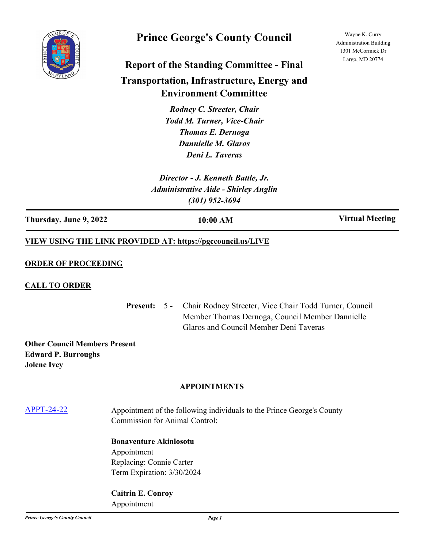

# **Prince George's County Council**

Wayne K. Curry Administration Building 1301 McCormick Dr Largo, MD 20774

# **Report of the Standing Committee - Final Transportation, Infrastructure, Energy and**

**Environment Committee**

*Rodney C. Streeter, Chair Todd M. Turner, Vice-Chair Thomas E. Dernoga Dannielle M. Glaros Deni L. Taveras*

*Director - J. Kenneth Battle, Jr. Administrative Aide - Shirley Anglin (301) 952-3694*

**Thursday, June 9, 2022 10:00 AM Virtual Meeting**

# **VIEW USING THE LINK PROVIDED AT: https://pgccouncil.us/LIVE**

#### **ORDER OF PROCEEDING**

## **CALL TO ORDER**

Present: 5 - Chair Rodney Streeter, Vice Chair Todd Turner, Council Member Thomas Dernoga, Council Member Dannielle Glaros and Council Member Deni Taveras

**Other Council Members Present Edward P. Burroughs Jolene Ivey**

## **APPOINTMENTS**

| APPT-24-22 | Appointment of the following individuals to the Prince George's County<br><b>Commission for Animal Control:</b> |
|------------|-----------------------------------------------------------------------------------------------------------------|
|            | <b>Bonaventure Akinlosotu</b>                                                                                   |
|            | Appointment                                                                                                     |
|            | Replacing: Connie Carter                                                                                        |
|            | Term Expiration: 3/30/2024                                                                                      |
|            | <b>Caitrin E. Conroy</b>                                                                                        |

Appointment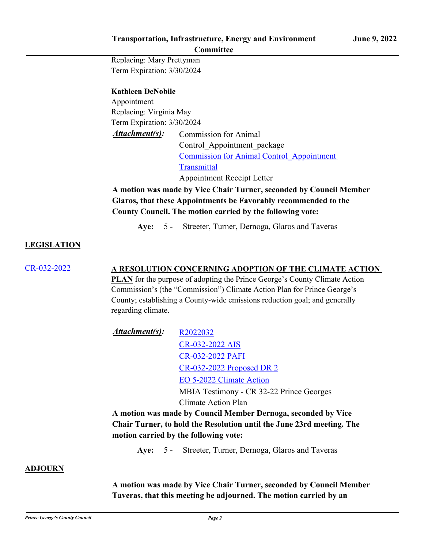#### **Committee**

Replacing: Mary Prettyman Term Expiration: 3/30/2024

# **Kathleen DeNobile**

Appointment Replacing: Virginia May Term Expiration: 3/30/2024

*Attachment(s):* Commission for Animal

Control\_Appointment\_package [Commission for Animal Control\\_Appointment](http://princegeorgescountymd.legistar.com/gateway.aspx?M=F&ID=6c945153-d812-4622-a28e-e8e1b73da160.pdf)  **Transmittal** 

Appointment Receipt Letter

**A motion was made by Vice Chair Turner, seconded by Council Member Glaros, that these Appointments be Favorably recommended to the County Council. The motion carried by the following vote:**

**Aye:** 5 - Streeter, Turner, Dernoga, Glaros and Taveras

# **LEGISLATION**

#### [CR-032-2022](http://princegeorgescountymd.legistar.com/gateway.aspx?m=l&id=/matter.aspx?key=14745) **A RESOLUTION CONCERNING ADOPTION OF THE CLIMATE ACTION**

**PLAN** for the purpose of adopting the Prince George's County Climate Action Commission's (the "Commission") Climate Action Plan for Prince George's County; establishing a County-wide emissions reduction goal; and generally regarding climate.

| <u>Attachment(s)</u> : | R2022032                                 |
|------------------------|------------------------------------------|
|                        | CR-032-2022 AIS                          |
|                        | <b>CR-032-2022 PAFI</b>                  |
|                        | CR-032-2022 Proposed DR 2                |
|                        | EO 5-2022 Climate Action                 |
|                        | MBIA Testimony - CR 32-22 Prince Georges |
|                        | Climate Action Plan                      |

**A motion was made by Council Member Dernoga, seconded by Vice Chair Turner, to hold the Resolution until the June 23rd meeting. The motion carried by the following vote:**

**Aye:** 5 - Streeter, Turner, Dernoga, Glaros and Taveras

#### **ADJOURN**

**A motion was made by Vice Chair Turner, seconded by Council Member Taveras, that this meeting be adjourned. The motion carried by an**